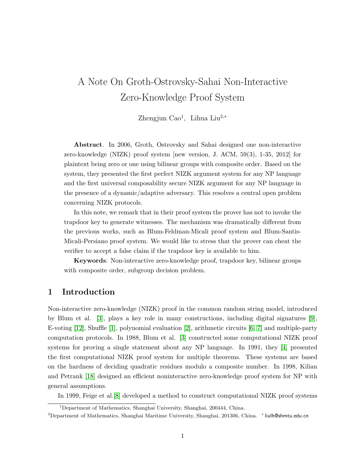# A Note On Groth-Ostrovsky-Sahai Non-Interactive Zero-Knowledge Proof System

Zhengjun Cao<sup>1</sup>, Lihua Liu<sup>2,∗</sup>

Abstract. In 2006, Groth, Ostrovsky and Sahai designed one non-interactive zero-knowledge (NIZK) proof system [new version, J. ACM, 59(3), 1-35, 2012] for plaintext being zero or one using bilinear groups with composite order. Based on the system, they presented the first perfect NIZK argument system for any NP language and the first universal composability secure NIZK argument for any NP language in the presence of a dynamic/adaptive adversary. This resolves a central open problem concerning NIZK protocols.

In this note, we remark that in their proof system the prover has not to invoke the trapdoor key to generate witnesses. The mechanism was dramatically different from the previous works, such as Blum-Feldman-Micali proof system and Blum-Santis-Micali-Persiano proof system. We would like to stress that the prover can cheat the verifier to accept a false claim if the trapdoor key is available to him.

Keywords: Non-interactive zero-knowledge proof, trapdoor key, bilinear groups with composite order, subgroup decision problem.

# 1 Introduction

Non-interactive zero-knowledge (NIZK) proof in the common random string model, introduced by Blum et al. [\[3\]](#page-4-0), plays a key role in many constructions, including digital signatures [\[9\]](#page-5-0), E-voting [\[12\]](#page-5-1), Shuffle [\[1\]](#page-4-1), polynomial evaluation [\[2\]](#page-4-2), arithmetic circuits [\[6,](#page-5-2) [7\]](#page-5-3) and multiple-party computation protocols. In 1988, Blum et al. [\[3\]](#page-4-0) constructed some computational NIZK proof systems for proving a single statement about any NP language. In 1991, they [\[4\]](#page-4-3) presented the first computational NIZK proof system for multiple theorems. These systems are based on the hardness of deciding quadratic residues modulo a composite number. In 1998, Kilian and Petrank [\[18\]](#page-5-4) designed an efficient noninteractive zero-knowledge proof system for NP with general assumptions.

In 1999, Feige et al.[\[8\]](#page-5-5) developed a method to construct computational NIZK proof systems

<sup>1</sup>Department of Mathematics, Shanghai University, Shanghai, 200444, China.

<sup>&</sup>lt;sup>3</sup>Department of Mathematics, Shanghai Maritime University, Shanghai, 201306, China. \* liulh@shmtu.edu.cn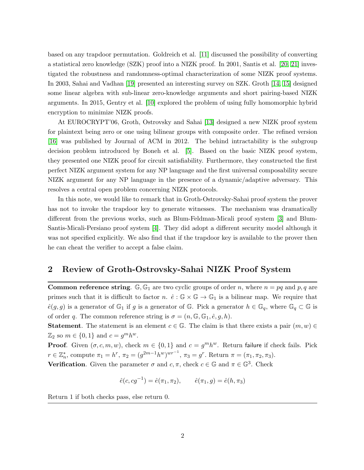based on any trapdoor permutation. Goldreich et al. [\[11\]](#page-5-6) discussed the possibility of converting a statistical zero knowledge (SZK) proof into a NIZK proof. In 2001, Santis et al. [\[20,](#page-5-7) [21\]](#page-5-8) investigated the robustness and randomness-optimal characterization of some NIZK proof systems. In 2003, Sahai and Vadhan [\[19\]](#page-5-9) presented an interesting survey on SZK. Groth [\[14,](#page-5-10) [15\]](#page-5-11) designed some linear algebra with sub-linear zero-knowledge arguments and short pairing-based NIZK arguments. In 2015, Gentry et al. [\[10\]](#page-5-12) explored the problem of using fully homomorphic hybrid encryption to minimize NIZK proofs.

At EUROCRYPT'06, Groth, Ostrovsky and Sahai [\[13\]](#page-5-13) designed a new NIZK proof system for plaintext being zero or one using bilinear groups with composite order. The refined version [\[16\]](#page-5-14) was published by Journal of ACM in 2012. The behind intractability is the subgroup decision problem introduced by Boneh et al. [\[5\]](#page-4-4). Based on the basic NIZK proof system, they presented one NIZK proof for circuit satisfiability. Furthermore, they constructed the first perfect NIZK argument system for any NP language and the first universal composability secure NIZK argument for any NP language in the presence of a dynamic/adaptive adversary. This resolves a central open problem concerning NIZK protocols.

In this note, we would like to remark that in Groth-Ostrovsky-Sahai proof system the prover has not to invoke the trapdoor key to generate witnesses. The mechanism was dramatically different from the previous works, such as Blum-Feldman-Micali proof system [\[3\]](#page-4-0) and Blum-Santis-Micali-Persiano proof system [\[4\]](#page-4-3). They did adopt a different security model although it was not specified explicitly. We also find that if the trapdoor key is available to the prover then he can cheat the verifier to accept a false claim.

# 2 Review of Groth-Ostrovsky-Sahai NIZK Proof System

**Common reference string.** G,  $\mathbb{G}_1$  are two cyclic groups of order n, where  $n = pq$  and p, q are primes such that it is difficult to factor n.  $\hat{e}: \mathbb{G} \times \mathbb{G} \to \mathbb{G}_1$  is a bilinear map. We require that  $\hat{e}(g, g)$  is a generator of  $\mathbb{G}_1$  if g is a generator of  $\mathbb{G}_1$ . Pick a generator  $h \in \mathbb{G}_q$ , where  $\mathbb{G}_q \subset \mathbb{G}$  is of order q. The common reference string is  $\sigma = (n, \mathbb{G}, \mathbb{G}_1, \hat{e}, g, h)$ .

**Statement**. The statement is an element  $c \in \mathbb{G}$ . The claim is that there exists a pair  $(m, w) \in$  $\mathbb{Z}_2$  so  $m \in \{0, 1\}$  and  $c = g^m h^w$ .

**Proof.** Given  $(\sigma, c, m, w)$ , check  $m \in \{0, 1\}$  and  $c = g^m h^w$ . Return failure if check fails. Pick  $r \in \mathbb{Z}_n^*$ , compute  $\pi_1 = h^r$ ,  $\pi_2 = (g^{2m-1}h^w)^{wr^{-1}}$ ,  $\pi_3 = g^r$ . Return  $\pi = (\pi_1, \pi_2, \pi_3)$ .

**Verification.** Given the parameter  $\sigma$  and  $c, \pi$ , check  $c \in \mathbb{G}$  and  $\pi \in \mathbb{G}^3$ . Check

$$
\hat{e}(c, cg^{-1}) = \hat{e}(\pi_1, \pi_2), \qquad \hat{e}(\pi_1, g) = \hat{e}(h, \pi_3)
$$

Return 1 if both checks pass, else return 0.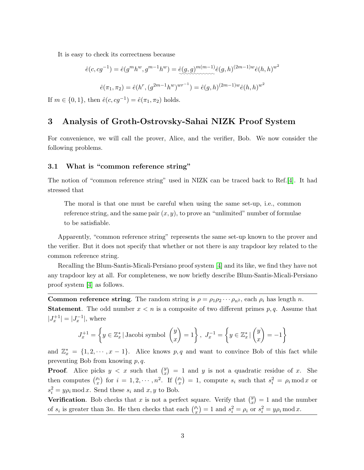It is easy to check its correctness because

$$
\hat{e}(c, cg^{-1}) = \hat{e}(g^m h^w, g^{m-1} h^w) = \hat{e}(g, g)^{m(m-1)} \hat{e}(g, h)^{(2m-1)w} \hat{e}(h, h)^{w^2}
$$

$$
\hat{e}(\pi_1, \pi_2) = \hat{e}(h^r, (g^{2m-1} h^w)^{wr^{-1}}) = \hat{e}(g, h)^{(2m-1)w} \hat{e}(h, h)^{w^2}
$$

If  $m \in \{0, 1\}$ , then  $\hat{e}(c, cg^{-1}) = \hat{e}(\pi_1, \pi_2)$  holds.

# 3 Analysis of Groth-Ostrovsky-Sahai NIZK Proof System

For convenience, we will call the prover, Alice, and the verifier, Bob. We now consider the following problems.

#### 3.1 What is "common reference string"

The notion of "common reference string" used in NIZK can be traced back to Ref.[\[4\]](#page-4-3). It had stressed that

The moral is that one must be careful when using the same set-up, i.e., common reference string, and the same pair  $(x, y)$ , to prove an "unlimited" number of formulae to be satisfiable.

Apparently, "common reference string" represents the same set-up known to the prover and the verifier. But it does not specify that whether or not there is any trapdoor key related to the common reference string.

Recalling the Blum-Santis-Micali-Persiano proof system [\[4\]](#page-4-3) and its like, we find they have not any trapdoor key at all. For completeness, we now briefly describe Blum-Santis-Micali-Persiano proof system [\[4\]](#page-4-3) as follows.

**Common reference string.** The random string is  $\rho = \rho_1 \rho_2 \cdots \rho_n$ , each  $\rho_i$  has length *n*. **Statement**. The odd number  $x < n$  is a composite of two different primes  $p, q$ . Assume that  $|J_x^{+1}| = |J_x^{-1}|$ , where

$$
J_x^{+1} = \left\{ y \in \mathbb{Z}_x^* \mid \text{Jacobi symbol } \begin{pmatrix} y \\ x \end{pmatrix} = 1 \right\}, J_x^{-1} = \left\{ y \in \mathbb{Z}_x^* \mid \begin{pmatrix} y \\ x \end{pmatrix} = -1 \right\}
$$

and  $\mathbb{Z}_x^* = \{1, 2, \dots, x - 1\}$ . Alice knows p, q and want to convince Bob of this fact while preventing Bob from knowing  $p, q$ .

**Proof.** Alice picks  $y < x$  such that  $\binom{y}{x}$  $\binom{y}{x}$  = 1 and y is not a quadratic residue of x. She then computes  $\binom{\rho_i}{x}$  for  $i = 1, 2, \cdots, n^2$ . If  $\binom{\rho_i}{x} = 1$ , compute  $s_i$  such that  $s_i^2 = \rho_i \mod x$  or  $s_i^2 = y \rho_i \mod x$ . Send these  $s_i$  and  $x, y$  to Bob.

**Verification.** Bob checks that x is not a perfect square. Verify that  $\binom{y}{x}$  $y(x) = 1$  and the number of  $s_i$  is greater than 3n. He then checks that each  $\binom{\rho_i}{x} = 1$  and  $s_i^2 = \rho_i$  or  $s_i^2 = y\rho_i \mod x$ .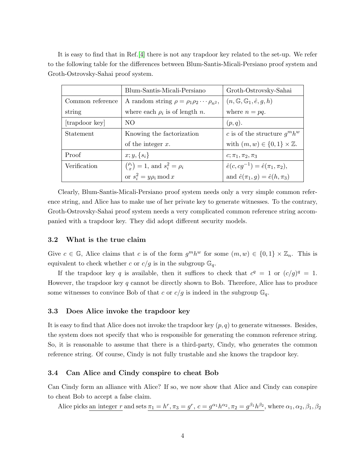It is easy to find that in Ref.[\[4\]](#page-4-3) there is not any trapdoor key related to the set-up. We refer to the following table for the differences between Blum-Santis-Micali-Persiano proof system and Groth-Ostrovsky-Sahai proof system.

|                  | Blum-Santis-Micali-Persiano                                | Groth-Ostrovsky-Sahai                          |
|------------------|------------------------------------------------------------|------------------------------------------------|
| Common reference | A random string $\rho = \rho_1 \rho_2 \cdots \rho_{n^2}$ , | $(n, \mathbb{G}, \mathbb{G}_1, \hat{e}, g, h)$ |
| string           | where each $\rho_i$ is of length n.                        | where $n = pq$ .                               |
| [trapdoor key]   | NO.                                                        | (p,q).                                         |
| Statement        | Knowing the factorization                                  | c is of the structure $q^m h^w$                |
|                  | of the integer $x$ .                                       | with $(m, w) \in \{0, 1\} \times \mathbb{Z}$ . |
| Proof            | $x; y, \{s_i\}$                                            | $c; \pi_1, \pi_2, \pi_3$                       |
| Verification     | $\binom{\rho_i}{r} = 1$ , and $s_i^2 = \rho_i$             | $\hat{e}(c, cg^{-1}) = \hat{e}(\pi_1, \pi_2),$ |
|                  | or $s_i^2 = y \rho_i \mod x$                               | and $\hat{e}(\pi_1, g) = \hat{e}(h, \pi_3)$    |

Clearly, Blum-Santis-Micali-Persiano proof system needs only a very simple common reference string, and Alice has to make use of her private key to generate witnesses. To the contrary, Groth-Ostrovsky-Sahai proof system needs a very complicated common reference string accompanied with a trapdoor key. They did adopt different security models.

#### 3.2 What is the true claim

Give  $c \in \mathbb{G}$ , Alice claims that c is of the form  $g^m h^w$  for some  $(m, w) \in \{0, 1\} \times \mathbb{Z}_n$ . This is equivalent to check whether c or  $c/g$  is in the subgroup  $\mathbb{G}_q$ .

If the trapdoor key q is available, then it suffices to check that  $c^q = 1$  or  $(c/g)^q = 1$ . However, the trapdoor key  $q$  cannot be directly shown to Bob. Therefore, Alice has to produce some witnesses to convince Bob of that c or  $c/g$  is indeed in the subgroup  $\mathbb{G}_q$ .

#### 3.3 Does Alice invoke the trapdoor key

It is easy to find that Alice does not invoke the trapdoor key  $(p, q)$  to generate witnesses. Besides, the system does not specify that who is responsible for generating the common reference string. So, it is reasonable to assume that there is a third-party, Cindy, who generates the common reference string. Of course, Cindy is not fully trustable and she knows the trapdoor key.

#### 3.4 Can Alice and Cindy conspire to cheat Bob

Can Cindy form an alliance with Alice? If so, we now show that Alice and Cindy can conspire to cheat Bob to accept a false claim.

Alice picks an integer r and sets  $\pi_1 = h^r$ ,  $\pi_3 = g^r$ ,  $c = g^{\alpha_1} h^{\alpha_2}$ ,  $\pi_2 = g^{\beta_1} h^{\beta_2}$ , where  $\alpha_1, \alpha_2, \beta_1, \beta_2$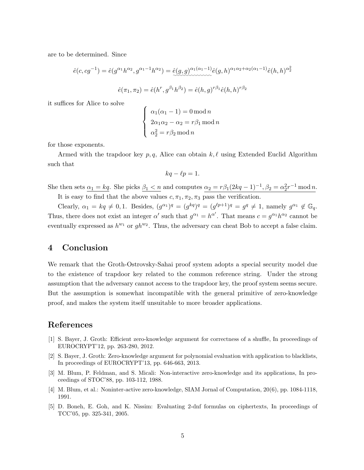are to be determined. Since

$$
\hat{e}(c, cg^{-1}) = \hat{e}(g^{\alpha_1}h^{\alpha_2}, g^{\alpha_1-1}h^{\alpha_2}) = \hat{e}(g, g)^{\alpha_1(\alpha_1-1)}\hat{e}(g, h)^{\alpha_1\alpha_2+\alpha_2(\alpha_1-1)}\hat{e}(h, h)^{\alpha_2^2}
$$

$$
\hat{e}(\pi_1, \pi_2) = \hat{e}(h^r, g^{\beta_1}h^{\beta_2}) = \hat{e}(h, g)^{r\beta_1}\hat{e}(h, h)^{r\beta_2}
$$

it suffices for Alice to solve

$$
\begin{cases}\n\alpha_1(\alpha_1 - 1) = 0 \mod n \\
2\alpha_1\alpha_2 - \alpha_2 = r\beta_1 \mod n \\
\alpha_2^2 = r\beta_2 \mod n\n\end{cases}
$$

for those exponents.

Armed with the trapdoor key  $p, q$ , Alice can obtain  $k, \ell$  using Extended Euclid Algorithm such that

$$
kq - \ell p = 1.
$$

She then sets  $\alpha_1 = kq$ . She picks  $\beta_1 < n$  and computes  $\alpha_2 = r\beta_1(2kq - 1)^{-1}$ ,  $\beta_2 = \alpha_2^2 r^{-1} \mod n$ .

It is easy to find that the above values  $c, \pi_1, \pi_2, \pi_3$  pass the verification.

Clearly,  $\alpha_1 = kq \neq 0, 1$ . Besides,  $(g^{\alpha_1})^q = (g^{kq})^q = (g^{\ell p+1})^q = g^q \neq 1$ , namely  $g^{\alpha_1} \notin \mathbb{G}_q$ . Thus, there does not exist an integer  $\alpha'$  such that  $g^{\alpha_1} = h^{\alpha'}$ . That means  $c = g^{\alpha_1} h^{\alpha_2}$  cannot be eventually expressed as  $h^{w_1}$  or  $gh^{w_2}$ . Thus, the adversary can cheat Bob to accept a false claim.

# 4 Conclusion

We remark that the Groth-Ostrovsky-Sahai proof system adopts a special security model due to the existence of trapdoor key related to the common reference string. Under the strong assumption that the adversary cannot access to the trapdoor key, the proof system seems secure. But the assumption is somewhat incompatible with the general primitive of zero-knowledge proof, and makes the system itself unsuitable to more broader applications.

### References

- <span id="page-4-1"></span>[1] S. Bayer, J. Groth: Efficient zero-knowledge argument for correctness of a shuffle, In proceedings of EUROCRYPT'12, pp. 263-280, 2012.
- <span id="page-4-2"></span>[2] S. Bayer, J. Groth: Zero-knowledge argument for polynomial evaluation with application to blacklists, In proceedings of EUROCRYPT'13, pp. 646-663, 2013.
- <span id="page-4-0"></span>[3] M. Blum, P. Feldman, and S. Micali: Non-interactive zero-knowledge and its applications, In proceedings of STOC'88, pp. 103-112, 1988.
- <span id="page-4-3"></span>[4] M. Blum, et al.: Noninter-active zero-knowledge, SIAM Jornal of Computation, 20(6), pp. 1084-1118, 1991.
- <span id="page-4-4"></span>[5] D. Boneh, E. Goh, and K. Nissim: Evaluating 2-dnf formulas on ciphertexts, In proceedings of TCC'05, pp. 325-341, 2005.